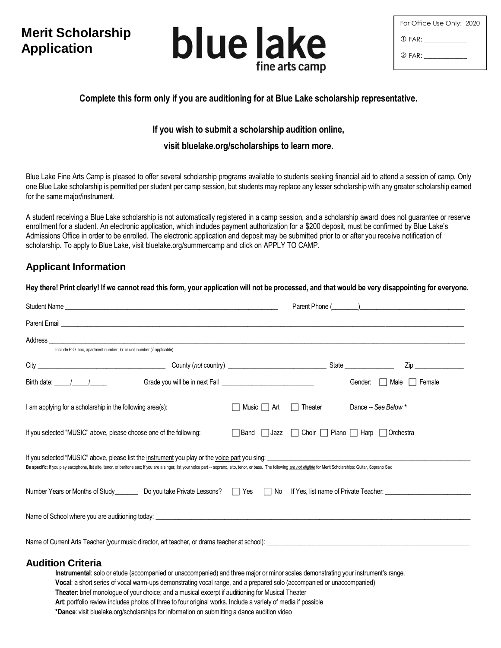# **Merit Scholarship Application**



| For Office Use Only: 2020 |  |
|---------------------------|--|
| (ገ) FAR:                  |  |
| 2 FAR:                    |  |

# **Complete this form only if you are auditioning for at Blue Lake scholarship representative.**

### **If you wish to submit a scholarship audition online,**

#### **visit bluelake.org/scholarships to learn more.**

Blue Lake Fine Arts Camp is pleased to offer several scholarship programs available to students seeking financial aid to attend a session of camp. Only one Blue Lake scholarship is permitted per student per camp session, but students may replace any lesser scholarship with any greater scholarship earned for the same major/instrument.

A student receiving a Blue Lake scholarship is not automatically registered in a camp session, and a scholarship award does not guarantee or reserve enrollment for a student. An electronic application, which includes payment authorization for a \$200 deposit, must be confirmed by Blue Lake's Admissions Office in order to be enrolled. The electronic application and deposit may be submitted prior to or after you receive notification of scholarship**.** To apply to Blue Lake, visit bluelake.org/summercamp and click on APPLY TO CAMP.

**Hey there! Print clearly! If we cannot read this form, your application will not be processed, and that would be very disappointing for everyone.** 

# **Applicant Information**

| Parent Email <b>Executive Construction Construction</b> Construction Construction Construction Construction Construction Construction Construction Construction Construction Construction Construction Construction Construction Co                                                                                                           |                                 |  |                                                                                                                |  |  |
|-----------------------------------------------------------------------------------------------------------------------------------------------------------------------------------------------------------------------------------------------------------------------------------------------------------------------------------------------|---------------------------------|--|----------------------------------------------------------------------------------------------------------------|--|--|
| Include P.O. box, apartment number, lot or unit number (if applicable)                                                                                                                                                                                                                                                                        |                                 |  |                                                                                                                |  |  |
|                                                                                                                                                                                                                                                                                                                                               |                                 |  | Ziper and the second service of the service of the series of the series of the series of the series of the ser |  |  |
| Birth date: $\frac{1}{\sqrt{1-\frac{1}{2}}}$                                                                                                                                                                                                                                                                                                  |                                 |  | Gender:     Male<br>Female<br>$\mathbf{1}$                                                                     |  |  |
| I am applying for a scholarship in the following area(s):                                                                                                                                                                                                                                                                                     | Music $\Box$ Art $\Box$ Theater |  | Dance -- See Below *                                                                                           |  |  |
| If you selected "MUSIC" above, please choose one of the following:                                                                                                                                                                                                                                                                            |                                 |  | <b>Band</b> Jazz Choir Piano Harp Orchestra                                                                    |  |  |
| If you selected "MUSIC" above, please list the <u>instrument</u> you play or the <u>voice part</u> you sing:<br>Be specific: If you play saxophone, list alto, tenor, or baritone sax; If you are a singer, list your voice part -- soprano, alto, tenor, or bass. The following are not eligible for Merit Scholarships: Guitar, Soprano Sax |                                 |  |                                                                                                                |  |  |
|                                                                                                                                                                                                                                                                                                                                               |                                 |  |                                                                                                                |  |  |
|                                                                                                                                                                                                                                                                                                                                               |                                 |  |                                                                                                                |  |  |
|                                                                                                                                                                                                                                                                                                                                               |                                 |  |                                                                                                                |  |  |
| <b>Audition Criteria</b>                                                                                                                                                                                                                                                                                                                      |                                 |  |                                                                                                                |  |  |

#### **Instrumental**: solo or etude (accompanied or unaccompanied) and three major or minor scales demonstrating your instrument's range. **Vocal**: a short series of vocal warm-ups demonstrating vocal range, and a prepared solo (accompanied or unaccompanied) **Theater**: brief monologue of your choice; and a musical excerpt if auditioning for Musical Theater **Art**: portfolio review includes photos of three to four original works. Include a variety of media if possible  **\*Dance**: visit bluelake.org/scholarships for information on submitting a dance audition video